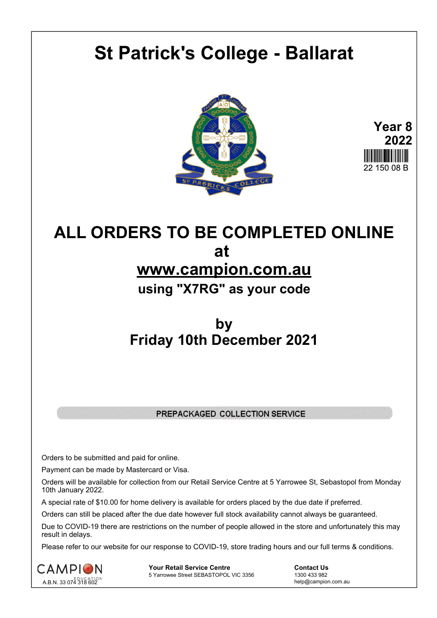# **St Patrick's College - Ballarat**





## **ALL ORDERS TO BE COMPLETED ONLINE at www.campion.com.au using "X7RG" as your code**

### **by Friday 10th December 2021**

#### PREPACKAGED COLLECTION SERVICE

Orders to be submitted and paid for online.

Payment can be made by Mastercard or Visa.

Orders will be available for collection from our Retail Service Centre at 5 Yarrowee St, Sebastopol from Monday 10th January 2022.

A special rate of \$10.00 for home delivery is available for orders placed by the due date if preferred.

Orders can still be placed after the due date however full stock availability cannot always be guaranteed.

Due to COVID-19 there are restrictions on the number of people allowed in the store and unfortunately this may result in delays.

Please refer to our website for our response to COVID-19, store trading hours and our full terms & conditions.



**Your Retail Service Centre**  Contact Us<br>
5 Yarrowee Street SEBASTOPOL VIC 3356 1300 433 982 5 Yarrowee Street SEBASTOPOL VIC 3356

help@campion.com.au